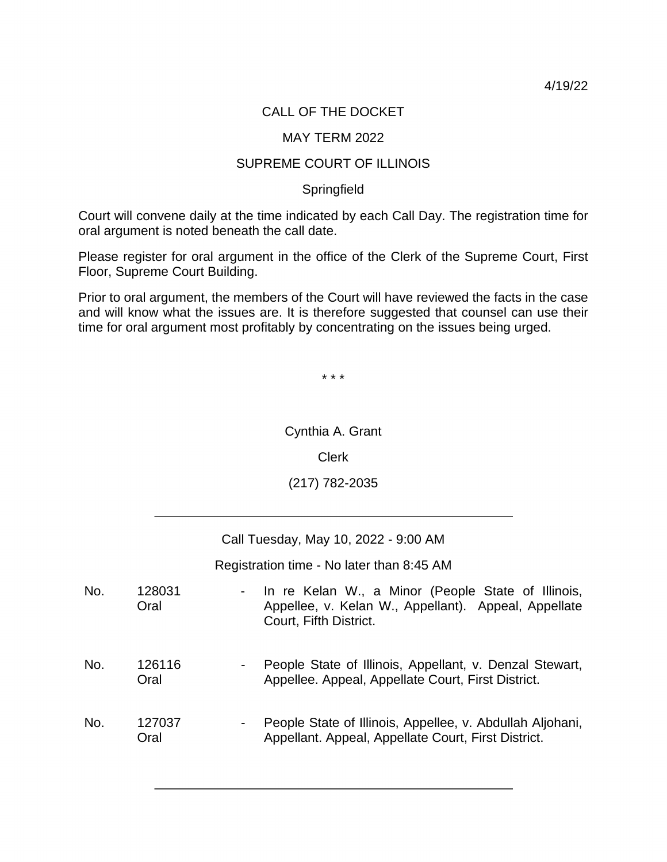4/19/22

## CALL OF THE DOCKET

## MAY TERM 2022

## SUPREME COURT OF ILLINOIS

## **Springfield**

Court will convene daily at the time indicated by each Call Day. The registration time for oral argument is noted beneath the call date.

 Please register for oral argument in the office of the Clerk of the Supreme Court, First Floor, Supreme Court Building.

 and will know what the issues are. It is therefore suggested that counsel can use their time for oral argument most profitably by concentrating on the issues being urged. Prior to oral argument, the members of the Court will have reviewed the facts in the case

\* \* \*

Cynthia A. Grant

Clerk

(217) 782-2035

Call Tuesday, May 10, 2022 - 9:00 AM

Registration time - No later than 8:45 AM

 - In re Kelan W., a Minor (People State of Illinois, Appellee, v. Kelan W., Appellant). Appeal, Appellate No. 128031 **Oral** Court, Fifth District.

- No. 126116 **Oral** People State of Illinois, Appellant, v. Denzal Stewart, Appellee. Appeal, Appellate Court, First District.
- Appellant. Appeal, Appellate Court, First District. No. 127037 **Oral** - People State of Illinois, Appellee, v. Abdullah Aljohani,